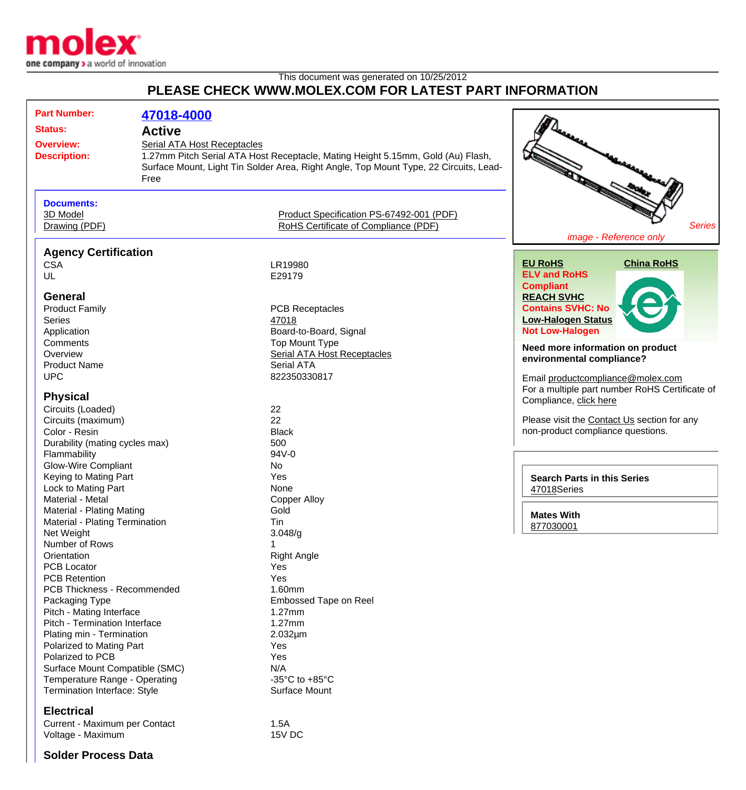

## This document was generated on 10/25/2012 **PLEASE CHECK WWW.MOLEX.COM FOR LATEST PART INFORMATION**

| <b>Part Number:</b>                     | 47018-4000                                                                                                                                                                                                             |                                          |                                                |
|-----------------------------------------|------------------------------------------------------------------------------------------------------------------------------------------------------------------------------------------------------------------------|------------------------------------------|------------------------------------------------|
| <b>Status:</b>                          | <b>Active</b>                                                                                                                                                                                                          |                                          |                                                |
|                                         |                                                                                                                                                                                                                        |                                          |                                                |
| <b>Overview:</b><br><b>Description:</b> | <b>Serial ATA Host Receptacles</b><br>1.27mm Pitch Serial ATA Host Receptacle, Mating Height 5.15mm, Gold (Au) Flash,<br>Surface Mount, Light Tin Solder Area, Right Angle, Top Mount Type, 22 Circuits, Lead-<br>Free |                                          |                                                |
| <b>Documents:</b>                       |                                                                                                                                                                                                                        |                                          |                                                |
| 3D Model                                |                                                                                                                                                                                                                        | Product Specification PS-67492-001 (PDF) |                                                |
| Drawing (PDF)                           |                                                                                                                                                                                                                        | RoHS Certificate of Compliance (PDF)     | <b>Series</b>                                  |
|                                         |                                                                                                                                                                                                                        |                                          | image - Reference only                         |
| <b>Agency Certification</b>             |                                                                                                                                                                                                                        |                                          |                                                |
| <b>CSA</b>                              |                                                                                                                                                                                                                        | LR19980                                  | <b>China RoHS</b><br><b>EU RoHS</b>            |
| UL                                      |                                                                                                                                                                                                                        | E29179                                   | <b>ELV and RoHS</b>                            |
|                                         |                                                                                                                                                                                                                        |                                          | <b>Compliant</b>                               |
| <b>General</b>                          |                                                                                                                                                                                                                        |                                          | <b>REACH SVHC</b>                              |
| <b>Product Family</b>                   |                                                                                                                                                                                                                        | <b>PCB Receptacles</b>                   | <b>Contains SVHC: No</b>                       |
| <b>Series</b>                           |                                                                                                                                                                                                                        | 47018                                    | <b>Low-Halogen Status</b>                      |
| Application                             |                                                                                                                                                                                                                        | Board-to-Board, Signal                   | <b>Not Low-Halogen</b>                         |
| Comments                                |                                                                                                                                                                                                                        | <b>Top Mount Type</b>                    | Need more information on product               |
| Overview                                |                                                                                                                                                                                                                        | <b>Serial ATA Host Receptacles</b>       | environmental compliance?                      |
| <b>Product Name</b>                     |                                                                                                                                                                                                                        | Serial ATA                               |                                                |
| <b>UPC</b>                              |                                                                                                                                                                                                                        | 822350330817                             | Email productcompliance@molex.com              |
| <b>Physical</b>                         |                                                                                                                                                                                                                        |                                          | For a multiple part number RoHS Certificate of |
|                                         |                                                                                                                                                                                                                        |                                          | Compliance, click here                         |
| Circuits (Loaded)                       |                                                                                                                                                                                                                        | 22<br>22                                 | Please visit the Contact Us section for any    |
| Circuits (maximum)<br>Color - Resin     |                                                                                                                                                                                                                        | <b>Black</b>                             | non-product compliance questions.              |
| Durability (mating cycles max)          |                                                                                                                                                                                                                        | 500                                      |                                                |
| Flammability                            |                                                                                                                                                                                                                        | 94V-0                                    |                                                |
| <b>Glow-Wire Compliant</b>              |                                                                                                                                                                                                                        | No                                       |                                                |
| Keying to Mating Part                   |                                                                                                                                                                                                                        | Yes                                      | <b>Search Parts in this Series</b>             |
| Lock to Mating Part                     |                                                                                                                                                                                                                        | None                                     | 47018Series                                    |
| Material - Metal                        |                                                                                                                                                                                                                        | <b>Copper Alloy</b>                      |                                                |
| Material - Plating Mating               |                                                                                                                                                                                                                        | Gold                                     |                                                |
| Material - Plating Termination          |                                                                                                                                                                                                                        | Tin                                      | <b>Mates With</b>                              |
| Net Weight                              |                                                                                                                                                                                                                        | 3.048/g                                  | 877030001                                      |
| Number of Rows                          |                                                                                                                                                                                                                        |                                          |                                                |
| Orientation                             |                                                                                                                                                                                                                        | <b>Right Angle</b>                       |                                                |
| <b>PCB Locator</b>                      |                                                                                                                                                                                                                        | Yes                                      |                                                |
| <b>PCB Retention</b>                    |                                                                                                                                                                                                                        | Yes                                      |                                                |
| PCB Thickness - Recommended             |                                                                                                                                                                                                                        | 1.60mm                                   |                                                |
| Packaging Type                          |                                                                                                                                                                                                                        | <b>Embossed Tape on Reel</b>             |                                                |
| Pitch - Mating Interface                |                                                                                                                                                                                                                        | 1.27mm                                   |                                                |
| Pitch - Termination Interface           |                                                                                                                                                                                                                        | 1.27mm                                   |                                                |
| Plating min - Termination               |                                                                                                                                                                                                                        | $2.032 \mu m$                            |                                                |
| Polarized to Mating Part                |                                                                                                                                                                                                                        | Yes                                      |                                                |
| Polarized to PCB                        |                                                                                                                                                                                                                        | Yes                                      |                                                |
| Surface Mount Compatible (SMC)          |                                                                                                                                                                                                                        | N/A                                      |                                                |
| Temperature Range - Operating           |                                                                                                                                                                                                                        | -35 $^{\circ}$ C to +85 $^{\circ}$ C     |                                                |
| Termination Interface: Style            |                                                                                                                                                                                                                        | Surface Mount                            |                                                |
| <b>Electrical</b>                       |                                                                                                                                                                                                                        |                                          |                                                |
| Current - Maximum per Contact           |                                                                                                                                                                                                                        | 1.5A                                     |                                                |
| Voltage - Maximum                       |                                                                                                                                                                                                                        | 15V DC                                   |                                                |
|                                         |                                                                                                                                                                                                                        |                                          |                                                |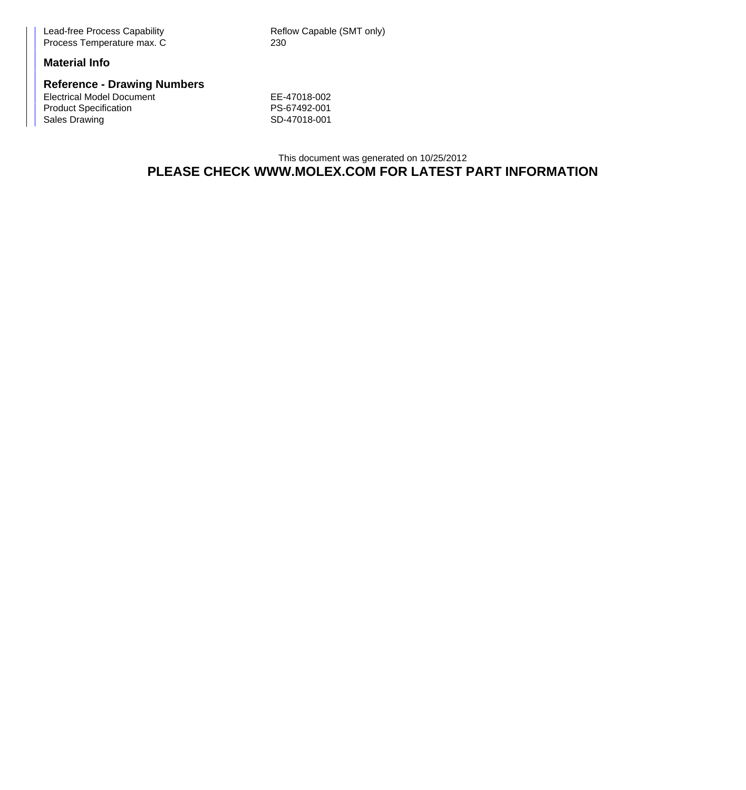Lead-free Process Capability **Reflow Capable (SMT only)** Reflow Capable (SMT only) Process Temperature max. C 230

## **Material Info**

## **Reference - Drawing Numbers**

Electrical Model Document<br>
Product Specification<br>
PS-67492-001 Product Specification<br>
Sales Drawing<br>
Sales Drawing<br>
PS-47018-001 Sales Drawing

This document was generated on 10/25/2012 **PLEASE CHECK WWW.MOLEX.COM FOR LATEST PART INFORMATION**